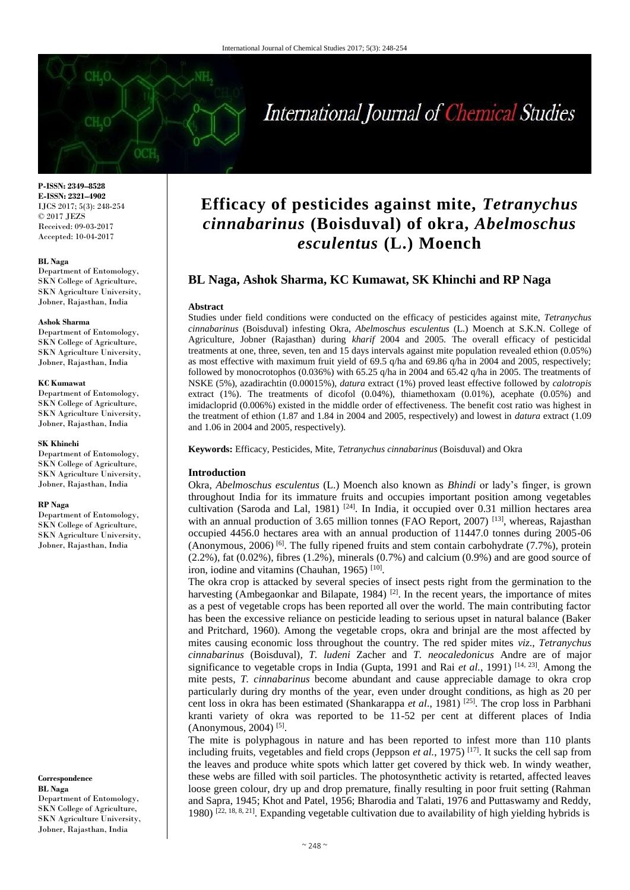# International Journal of Chemical Studies

**P-ISSN: 2349–8528 E-ISSN: 2321–4902** IJCS 2017; 5(3): 248-254 © 2017 JEZS Received: 09-03-2017 Accepted: 10-04-2017

#### **BL Naga**

Department of Entomology, SKN College of Agriculture, SKN Agriculture University, Jobner, Rajasthan, India

#### **Ashok Sharma**

Department of Entomology, SKN College of Agriculture, SKN Agriculture University, Jobner, Rajasthan, India

#### **KC Kumawat**

Department of Entomology, SKN College of Agriculture, SKN Agriculture University, Jobner, Rajasthan, India

#### **SK Khinchi**

Department of Entomology, SKN College of Agriculture, SKN Agriculture University, Jobner, Rajasthan, India

#### **RP Naga**

Department of Entomology, SKN College of Agriculture, SKN Agriculture University, Jobner, Rajasthan, India

**Correspondence BL Naga**  Department of Entomology, SKN College of Agriculture, SKN Agriculture University, Jobner, Rajasthan, India

## **Efficacy of pesticides against mite,** *Tetranychus cinnabarinus* **(Boisduval) of okra,** *Abelmoschus esculentus* **(L.) Moench**

### **BL Naga, Ashok Sharma, KC Kumawat, SK Khinchi and RP Naga**

#### **Abstract**

Studies under field conditions were conducted on the efficacy of pesticides against mite, *Tetranychus cinnabarinus* (Boisduval) infesting Okra, *Abelmoschus esculentus* (L.) Moench at S.K.N. College of Agriculture, Jobner (Rajasthan) during *kharif* 2004 and 2005. The overall efficacy of pesticidal treatments at one, three, seven, ten and 15 days intervals against mite population revealed ethion (0.05%) as most effective with maximum fruit yield of 69.5 q/ha and 69.86 q/ha in 2004 and 2005, respectively; followed by monocrotophos (0.036%) with 65.25 q/ha in 2004 and 65.42 q/ha in 2005. The treatments of NSKE (5%), azadirachtin (0.00015%), *datura* extract (1%) proved least effective followed by *calotropis*  extract  $(1\%)$ . The treatments of dicofol  $(0.04\%)$ , thiamethoxam  $(0.01\%)$ , acephate  $(0.05\%)$  and imidacloprid (0.006%) existed in the middle order of effectiveness. The benefit cost ratio was highest in the treatment of ethion (1.87 and 1.84 in 2004 and 2005, respectively) and lowest in *datura* extract (1.09 and 1.06 in 2004 and 2005, respectively).

**Keywords:** Efficacy, Pesticides, Mite, *Tetranychus cinnabarinus* (Boisduval) and Okra

#### **Introduction**

Okra, *Abelmoschus esculentus* (L.) Moench also known as *Bhindi* or lady's finger, is grown throughout India for its immature fruits and occupies important position among vegetables cultivation (Saroda and Lal, 1981)  $[24]$ . In India, it occupied over 0.31 million hectares area with an annual production of 3.65 million tonnes (FAO Report, 2007)<sup>[13]</sup>, whereas, Rajasthan occupied 4456.0 hectares area with an annual production of 11447.0 tonnes during 2005-06 (Anonymous, 2006) <sup>[6]</sup>. The fully ripened fruits and stem contain carbohydrate (7.7%), protein  $(2.2\%)$ , fat  $(0.02\%)$ , fibres  $(1.2\%)$ , minerals  $(0.7\%)$  and calcium  $(0.9\%)$  and are good source of iron, iodine and vitamins (Chauhan, 1965)<sup>[10]</sup>.

The okra crop is attacked by several species of insect pests right from the germination to the harvesting (Ambegaonkar and Bilapate, 1984)<sup>[2]</sup>. In the recent years, the importance of mites as a pest of vegetable crops has been reported all over the world. The main contributing factor has been the excessive reliance on pesticide leading to serious upset in natural balance (Baker and Pritchard, 1960). Among the vegetable crops, okra and brinjal are the most affected by mites causing economic loss throughout the country. The red spider mites *viz*., *Tetranychus cinnabarinus* (Boisduval)*, T. ludeni* Zacher and *T. neocaledonicus* Andre are of major significance to vegetable crops in India (Gupta, 1991 and Rai *et al.*, 1991)<sup>[14, 23]. Among the</sup> mite pests, *T. cinnabarinus* become abundant and cause appreciable damage to okra crop particularly during dry months of the year, even under drought conditions, as high as 20 per cent loss in okra has been estimated (Shankarappa *et al*., 1981) [25]. The crop loss in Parbhani kranti variety of okra was reported to be 11-52 per cent at different places of India (Anonymous, 2004)<sup>[5]</sup>.

The mite is polyphagous in nature and has been reported to infest more than 110 plants including fruits, vegetables and field crops (Jeppson *et al.*, 1975)<sup>[17]</sup>. It sucks the cell sap from the leaves and produce white spots which latter get covered by thick web. In windy weather, these webs are filled with soil particles. The photosynthetic activity is retarted, affected leaves loose green colour, dry up and drop premature, finally resulting in poor fruit setting (Rahman and Sapra, 1945; Khot and Patel, 1956; Bharodia and Talati, 1976 and Puttaswamy and Reddy, 1980)  $[22, 18, 8, 21]$ . Expanding vegetable cultivation due to availability of high yielding hybrids is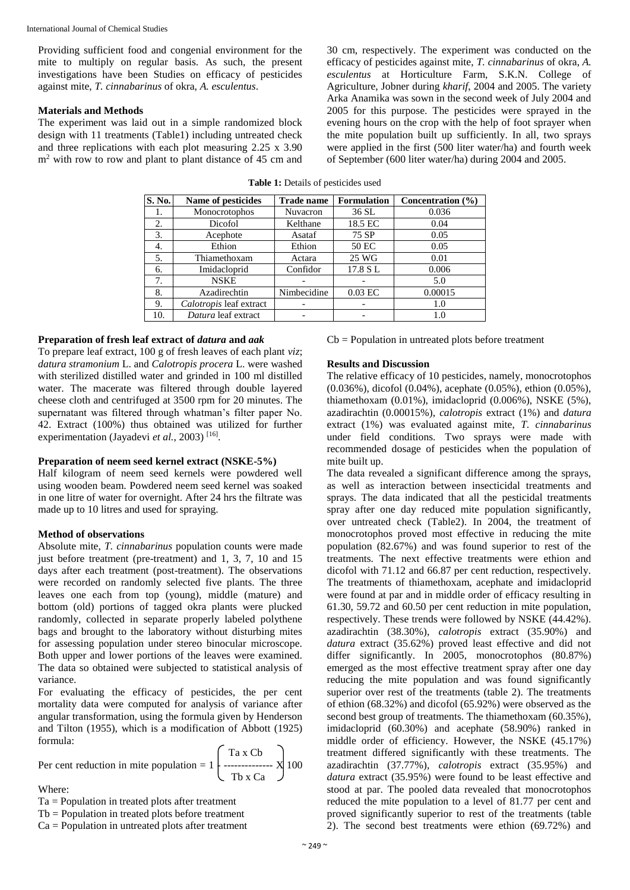Providing sufficient food and congenial environment for the mite to multiply on regular basis. As such, the present investigations have been Studies on efficacy of pesticides against mite, *T. cinnabarinus* of okra, *A. esculentus*.

#### **Materials and Methods**

The experiment was laid out in a simple randomized block design with 11 treatments (Table1) including untreated check and three replications with each plot measuring 2.25 x 3.90 m<sup>2</sup> with row to row and plant to plant distance of 45 cm and

30 cm, respectively. The experiment was conducted on the efficacy of pesticides against mite, *T. cinnabarinus* of okra, *A. esculentus* at Horticulture Farm, S.K.N. College of Agriculture, Jobner during *kharif*, 2004 and 2005. The variety Arka Anamika was sown in the second week of July 2004 and 2005 for this purpose. The pesticides were sprayed in the evening hours on the crop with the help of foot sprayer when the mite population built up sufficiently. In all, two sprays were applied in the first (500 liter water/ha) and fourth week of September (600 liter water/ha) during 2004 and 2005.

| S. No. | Name of pesticides      | <b>Trade name</b>        | <b>Formulation</b> | Concentration $(\% )$ |
|--------|-------------------------|--------------------------|--------------------|-----------------------|
| 1.     | Monocrotophos           | <b>Nuvacron</b>          | 36 SL              | 0.036                 |
| 2.     | Dicofol                 | Kelthane                 | 18.5 EC            | 0.04                  |
| 3.     | Acephote                | Asataf                   | 75 SP              | 0.05                  |
| 4.     | Ethion                  | Ethion                   | 50 EC              | 0.05                  |
| 5.     | Thiamethoxam            | Actara                   | 25 WG              | 0.01                  |
| 6.     | Imidacloprid            | Confidor                 | 17.8 SL            | 0.006                 |
| 7.     | <b>NSKE</b>             |                          |                    | 5.0                   |
| 8.     | Azadirechtin            | Nimbecidine              | $0.03$ EC          | 0.00015               |
| 9.     | Calotropis leaf extract | $\overline{\phantom{a}}$ |                    | 1.0                   |
| 10.    | Datura leaf extract     |                          |                    | 1.0                   |

**Table 1:** Details of pesticides used

#### **Preparation of fresh leaf extract of** *datura* **and** *aak*

To prepare leaf extract, 100 g of fresh leaves of each plant *viz*; *datura stramonium* L. and *Calotropis procera* L. were washed with sterilized distilled water and grinded in 100 ml distilled water. The macerate was filtered through double layered cheese cloth and centrifuged at 3500 rpm for 20 minutes. The supernatant was filtered through whatman's filter paper No. 42. Extract (100%) thus obtained was utilized for further experimentation (Jayadevi et al., 2003)<sup>[16]</sup>.

#### **Preparation of neem seed kernel extract (NSKE-5%)**

Half kilogram of neem seed kernels were powdered well using wooden beam. Powdered neem seed kernel was soaked in one litre of water for overnight. After 24 hrs the filtrate was made up to 10 litres and used for spraying.

#### **Method of observations**

Absolute mite, *T. cinnabarinus* population counts were made just before treatment (pre-treatment) and 1, 3, 7, 10 and 15 days after each treatment (post-treatment). The observations were recorded on randomly selected five plants. The three leaves one each from top (young), middle (mature) and bottom (old) portions of tagged okra plants were plucked randomly, collected in separate properly labeled polythene bags and brought to the laboratory without disturbing mites for assessing population under stereo binocular microscope. Both upper and lower portions of the leaves were examined. The data so obtained were subjected to statistical analysis of variance.

For evaluating the efficacy of pesticides, the per cent mortality data were computed for analysis of variance after angular transformation, using the formula given by Henderson and Tilton (1955), which is a modification of Abbott (1925) formula:  $\zeta$   $\approx$   $\approx$ 

Per cent reduction in mite population = 
$$
1 \begin{bmatrix} \text{Ta } x \text{ Cb} \\ \text{---} \\ \text{Tb } x \text{ Ca} \end{bmatrix} 100
$$

Where:

Ta = Population in treated plots after treatment

Tb = Population in treated plots before treatment

Ca = Population in untreated plots after treatment

 $Cb = Population$  in untreated plots before treatment

#### **Results and Discussion**

The relative efficacy of 10 pesticides, namely, monocrotophos (0.036%), dicofol (0.04%), acephate (0.05%), ethion (0.05%), thiamethoxam (0.01%), imidacloprid (0.006%), NSKE (5%), azadirachtin (0.00015%), *calotropis* extract (1%) and *datura*  extract (1%) was evaluated against mite, *T. cinnabarinus*  under field conditions. Two sprays were made with recommended dosage of pesticides when the population of mite built up.

The data revealed a significant difference among the sprays, as well as interaction between insecticidal treatments and sprays. The data indicated that all the pesticidal treatments spray after one day reduced mite population significantly, over untreated check (Table2). In 2004, the treatment of monocrotophos proved most effective in reducing the mite population (82.67%) and was found superior to rest of the treatments. The next effective treatments were ethion and dicofol with 71.12 and 66.87 per cent reduction, respectively. The treatments of thiamethoxam, acephate and imidacloprid were found at par and in middle order of efficacy resulting in 61.30, 59.72 and 60.50 per cent reduction in mite population, respectively. These trends were followed by NSKE (44.42%). azadirachtin (38.30%), *calotropis* extract (35.90%) and *datura* extract (35.62%) proved least effective and did not differ significantly. In 2005, monocrotophos (80.87%) emerged as the most effective treatment spray after one day reducing the mite population and was found significantly superior over rest of the treatments (table 2). The treatments of ethion (68.32%) and dicofol (65.92%) were observed as the second best group of treatments. The thiamethoxam (60.35%), imidacloprid (60.30%) and acephate (58.90%) ranked in middle order of efficiency. However, the NSKE (45.17%) treatment differed significantly with these treatments. The azadirachtin (37.77%), *calotropis* extract (35.95%) and *datura* extract (35.95%) were found to be least effective and stood at par. The pooled data revealed that monocrotophos reduced the mite population to a level of 81.77 per cent and proved significantly superior to rest of the treatments (table 2). The second best treatments were ethion (69.72%) and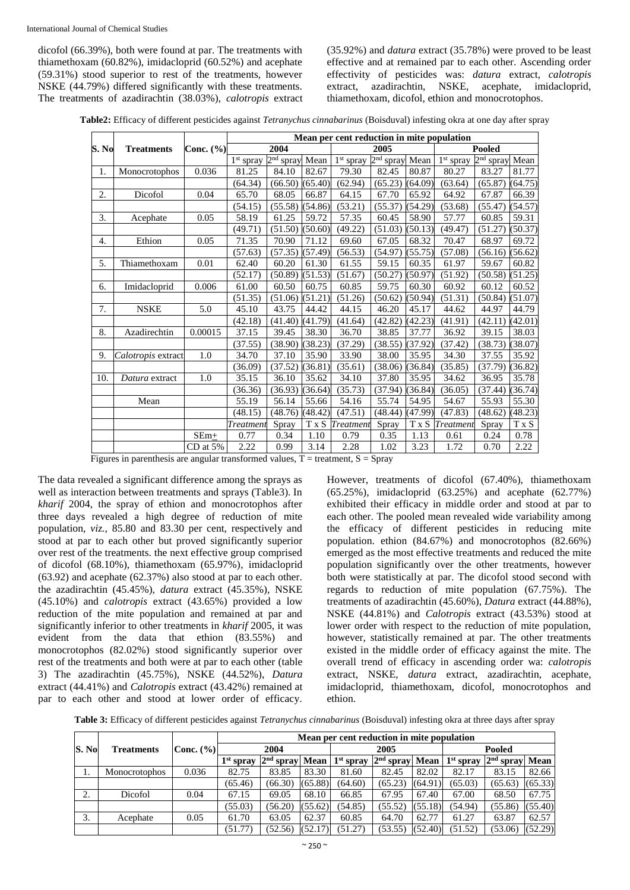dicofol (66.39%), both were found at par. The treatments with thiamethoxam (60.82%), imidacloprid (60.52%) and acephate (59.31%) stood superior to rest of the treatments, however NSKE (44.79%) differed significantly with these treatments. The treatments of azadirachtin (38.03%), *calotropis* extract (35.92%) and *datura* extract (35.78%) were proved to be least effective and at remained par to each other. Ascending order effectivity of pesticides was: *datura* extract, *calotropis*  extract, azadirachtin, NSKE, acephate, imidacloprid, thiamethoxam, dicofol, ethion and monocrotophos.

**Table2:** Efficacy of different pesticides against *Tetranychus cinnabarinus* (Boisduval) infesting okra at one day after spray

|       |                    |               | Mean per cent reduction in mite population |                            |         |                       |                          |                    |                       |                          |         |  |  |
|-------|--------------------|---------------|--------------------------------------------|----------------------------|---------|-----------------------|--------------------------|--------------------|-----------------------|--------------------------|---------|--|--|
| S. No | <b>Treatments</b>  | Conc. $(\% )$ |                                            | 2004                       |         |                       | 2005                     |                    |                       | Pooled                   |         |  |  |
|       |                    |               | $1st$ spray                                | 2 <sup>nd</sup> spray Mean |         | 1 <sup>st</sup> spray | 2 <sub>nd</sub><br>spray | Mean               | 1 <sup>st</sup> spray | 2 <sup>nd</sup><br>spray | Mean    |  |  |
| 1.    | Monocrotophos      | 0.036         | 81.25                                      | 84.10                      | 82.67   | 79.30                 | 82.45                    | 80.87              | 80.27                 | 83.27                    | 81.77   |  |  |
|       |                    |               | (64.34)                                    | (66.50)                    | (65.40) | (62.94)               | (65.23)                  | (64.09)            | (63.64)               | (65.87)                  | (64.75) |  |  |
| 2.    | Dicofol            | 0.04          | 65.70                                      | 68.05                      | 66.87   | 64.15                 | 67.70                    | 65.92              | 64.92                 | 67.87                    | 66.39   |  |  |
|       |                    |               | (54.15)                                    | (55.58)                    | (54.86) | (53.21)               | (55.37)                  | (54.29)            | (53.68)               | (55.47)                  | (54.57) |  |  |
| 3.    | Acephate           | 0.05          | 58.19                                      | 61.25                      | 59.72   | 57.35                 | 60.45                    | 58.90              | 57.77                 | 60.85                    | 59.31   |  |  |
|       |                    |               | (49.71)                                    | (51.50)                    | (50.60) | (49.22)               | (51.03)                  | (50.13)            | (49.47)               | (51.27)                  | (50.37) |  |  |
| 4.    | Ethion             | 0.05          | 71.35                                      | 70.90                      | 71.12   | 69.60                 | 67.05                    | 68.32              | 70.47                 | 68.97                    | 69.72   |  |  |
|       |                    |               | (57.63)                                    | (57.35)                    | (57.49) | (56.53)               | (54.97)                  | (55.75)            | (57.08)               | (56.16)                  | (56.62) |  |  |
| 5.    | Thiamethoxam       | 0.01          | 62.40                                      | 60.20                      | 61.30   | 61.55                 | 59.15                    | 60.35              | 61.97                 | 59.67                    | 60.82   |  |  |
|       |                    |               | (52.17)                                    | (50.89)                    | (51.53) | (51.67)               | (50.27)                  | (50.97)            | (51.92)               | (50.58)                  | (51.25) |  |  |
| 6.    | Imidacloprid       | 0.006         | 61.00                                      | 60.50                      | 60.75   | 60.85                 | 59.75                    | 60.30              | 60.92                 | 60.12                    | 60.52   |  |  |
|       |                    |               | (51.35)                                    | (51.06)                    | (51.21) | (51.26)               | (50.62)                  | (50.94)            | (51.31)               | (50.84)                  | (51.07) |  |  |
| 7.    | <b>NSKE</b>        | 5.0           | 45.10                                      | 43.75                      | 44.42   | 44.15                 | 46.20                    | $\overline{4}5.17$ | 44.62                 | 44.97                    | 44.79   |  |  |
|       |                    |               | (42.18)                                    | (41.40)                    | (41.79) | (41.64)               | (42.82)                  | (42.23)            | (41.91)               | (42.11)                  | (42.01) |  |  |
| 8.    | Azadirechtin       | 0.00015       | 37.15                                      | 39.45                      | 38.30   | 36.70                 | 38.85                    | 37.77              | 36.92                 | 39.15                    | 38.03   |  |  |
|       |                    |               | (37.55)                                    | (38.90)                    | (38.23) | (37.29)               | (38.55)                  | (37.92)            | (37.42)               | (38.73)                  | (38.07) |  |  |
| 9.    | Calotropis extract | 1.0           | 34.70                                      | 37.10                      | 35.90   | 33.90                 | 38.00                    | 35.95              | 34.30                 | 37.55                    | 35.92   |  |  |
|       |                    |               | (36.09)                                    | (37.52)                    | (36.81) | (35.61)               | (38.06)                  | (36.84)            | (35.85)               | (37.79)                  | (36.82) |  |  |
| 10.   | Datura extract     | 1.0           | 35.15                                      | 36.10                      | 35.62   | 34.10                 | 37.80                    | 35.95              | 34.62                 | 36.95                    | 35.78   |  |  |
|       |                    |               | (36.36)                                    | (36.93)                    | (36.64) | (35.73)               | (37.94)                  | (36.84)            | (36.05)               | (37.44)                  | (36.74) |  |  |
|       | Mean               |               | 55.19                                      | 56.14                      | 55.66   | 54.16                 | 55.74                    | 54.95              | 54.67                 | 55.93                    | 55.30   |  |  |
|       |                    |               | (48.15)                                    | (48.76)                    | (48.42) | (47.51)               | (48.44)                  | (47.99)            | (47.83)               | (48.62)                  | (48.23) |  |  |
|       |                    |               | Treatment                                  | Spray                      |         | T x S Treatment       | Spray                    | T x S              | Treatment             | Spray                    | T x S   |  |  |
|       |                    | $SEm+$        | 0.77                                       | 0.34                       | 1.10    | 0.79                  | 0.35                     | 1.13               | 0.61                  | 0.24                     | 0.78    |  |  |
|       |                    | $CD$ at 5%    | 2.22                                       | 0.99                       | 3.14    | 2.28                  | 1.02                     | 3.23               | 1.72                  | 0.70                     | 2.22    |  |  |

Figures in parenthesis are angular transformed values,  $T =$  treatment,  $S =$  Spray

The data revealed a significant difference among the sprays as well as interaction between treatments and sprays (Table3). In *kharif* 2004, the spray of ethion and monocrotophos after three days revealed a high degree of reduction of mite population, *viz.*, 85.80 and 83.30 per cent, respectively and stood at par to each other but proved significantly superior over rest of the treatments. the next effective group comprised of dicofol (68.10%), thiamethoxam (65.97%), imidacloprid (63.92) and acephate (62.37%) also stood at par to each other. the azadirachtin (45.45%), *datura* extract (45.35%), NSKE (45.10%) and *calotropis* extract (43.65%) provided a low reduction of the mite population and remained at par and significantly inferior to other treatments in *kharif* 2005, it was evident from the data that ethion (83.55%) and monocrotophos (82.02%) stood significantly superior over rest of the treatments and both were at par to each other (table 3) The azadirachtin (45.75%), NSKE (44.52%), *Datura*  extract (44.41%) and *Calotropis* extract (43.42%) remained at par to each other and stood at lower order of efficacy. However, treatments of dicofol (67.40%), thiamethoxam (65.25%), imidacloprid (63.25%) and acephate (62.77%) exhibited their efficacy in middle order and stood at par to each other. The pooled mean revealed wide variability among the efficacy of different pesticides in reducing mite population. ethion (84.67%) and monocrotophos (82.66%) emerged as the most effective treatments and reduced the mite population significantly over the other treatments, however both were statistically at par. The dicofol stood second with regards to reduction of mite population (67.75%). The treatments of azadirachtin (45.60%), *Datura* extract (44.88%), NSKE (44.81%) and *Calotropis* extract (43.53%) stood at lower order with respect to the reduction of mite population, however, statistically remained at par. The other treatments existed in the middle order of efficacy against the mite. The overall trend of efficacy in ascending order wa: *calotropis*  extract, NSKE, *datura* extract, azadirachtin, acephate, imidacloprid, thiamethoxam, dicofol, monocrotophos and ethion.

**Table 3:** Efficacy of different pesticides against *Tetranychus cinnabarinus* (Boisduval) infesting okra at three days after spray

|                     |                   |               | Mean per cent reduction in mite population |                    |         |             |                    |         |             |                             |         |  |  |
|---------------------|-------------------|---------------|--------------------------------------------|--------------------|---------|-------------|--------------------|---------|-------------|-----------------------------|---------|--|--|
| S. No               | <b>Treatments</b> | Conc. $(\% )$ | 2004                                       |                    |         | 2005        |                    |         | Pooled      |                             |         |  |  |
|                     |                   |               | $1st$ spray                                | $2nd$ spray   Mean |         | $1st$ spray | $2nd$ spray   Mean |         | $1st$ spray | 2 <sup>nd</sup> spravl Mean |         |  |  |
| 1.                  | Monocrotophos     | 0.036         | 82.75                                      | 83.85              | 83.30   | 81.60       | 82.45              | 82.02   | 82.17       | 83.15                       | 82.66   |  |  |
|                     |                   |               | (65.46)                                    | (66.30)            | (65.88) | (64.60)     | (65.23)            | (64.91) | (65.03)     | (65.63)                     | (65.33) |  |  |
| $\mathcal{D}$<br>۷. | Dicofol           | 0.04          | 67.15                                      | 69.05              | 68.10   | 66.85       | 67.95              | 67.40   | 67.00       | 68.50                       | 67.75   |  |  |
|                     |                   |               | (55.03)                                    | (56.20)            | (55.62) | (54.85)     | (55.52)            | (55.18) | (54.94)     | (55.86)                     | (55.40) |  |  |
| 3.                  | Acephate          | 0.05          | 61.70                                      | 63.05              | 62.37   | 60.85       | 64.70              | 62.77   | 61.27       | 63.87                       | 62.57   |  |  |
|                     |                   |               | (51.77)                                    | (52.56)            | (52.17) | (51.27)     | (53.55)            | (52.40) | (51.52)     | (53.06)                     | (52.29) |  |  |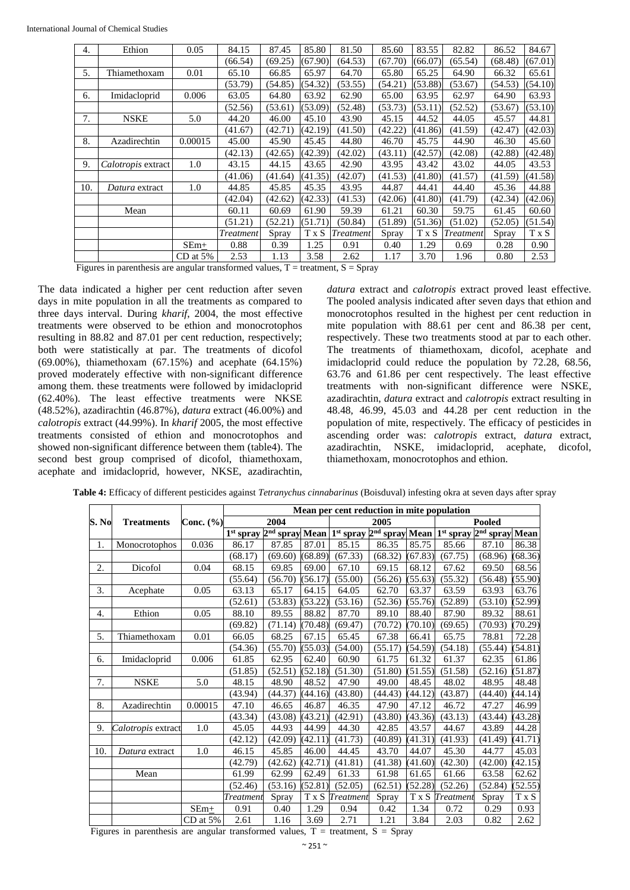| Ethion         | 0.05       | 84.15              | 87.45   | 85.80 | 81.50     | 85.60                                                                                | 83.55   | 82.82     | 86.52                                               | 84.67   |
|----------------|------------|--------------------|---------|-------|-----------|--------------------------------------------------------------------------------------|---------|-----------|-----------------------------------------------------|---------|
|                |            | (66.54)            | (69.25) |       | (64.53)   | (67.70)                                                                              | (66.07) | (65.54)   | (68.48)                                             | (67.01) |
| Thiamethoxam   | 0.01       | 65.10              | 66.85   | 65.97 | 64.70     | 65.80                                                                                | 65.25   | 64.90     | 66.32                                               | 65.61   |
|                |            | (53.79)            | (54.85) |       | (53.55)   | (54.21)                                                                              | (53.88) | (53.67)   | (54.53)                                             | (54.10) |
| Imidacloprid   | 0.006      | 63.05              | 64.80   | 63.92 | 62.90     | 65.00                                                                                | 63.95   | 62.97     | 64.90                                               | 63.93   |
|                |            | (52.56)            | (53.61) |       | (52.48)   | (53.73)                                                                              |         | (52.52)   | (53.67)                                             | (53.10) |
| <b>NSKE</b>    | 5.0        | 44.20              | 46.00   | 45.10 | 43.90     | 45.15                                                                                | 44.52   | 44.05     | 45.57                                               | 44.81   |
|                |            | (41.67)            | (42.71) |       | (41.50)   | (42.22)                                                                              |         | (41.59)   | (42.47)                                             | (42.03) |
| Azadirechtin   | 0.00015    | 45.00              | 45.90   | 45.45 | 44.80     | 46.70                                                                                | 45.75   | 44.90     | 46.30                                               | 45.60   |
|                |            | (42.13)            | (42.65) |       | (42.02)   | (43.11)                                                                              |         | (42.08)   | (42.88)                                             | (42.48) |
|                | 1.0        | 43.15              | 44.15   | 43.65 | 42.90     | 43.95                                                                                | 43.42   | 43.02     | 44.05                                               | 43.53   |
|                |            | (41.06)            | (41.64) |       | (42.07)   | (41.53)                                                                              | (41.80) | (41.57)   | (41.59)                                             | (41.58) |
| Datura extract | 1.0        | 44.85              | 45.85   | 45.35 | 43.95     | 44.87                                                                                | 44.41   | 44.40     | 45.36                                               | 44.88   |
|                |            | (42.04)            | (42.62) |       | (41.53)   | (42.06)                                                                              |         | (41.79)   | (42.34)                                             | (42.06) |
| Mean           |            | 60.11              | 60.69   | 61.90 | 59.39     | 61.21                                                                                | 60.30   | 59.75     | 61.45                                               | 60.60   |
|                |            | (51.21)            | (52.21) |       | (50.84)   | (51.89)                                                                              |         | (51.02)   | (52.05)                                             | (51.54) |
|                |            | Treatment          | Spray   | T x S | Treatment | Spray                                                                                | T x S   | Treatment | Spray                                               | T x S   |
|                | $SEm+$     | 0.88               | 0.39    | 1.25  | 0.91      | 0.40                                                                                 | 1.29    | 0.69      | 0.28                                                | 0.90    |
|                | $CD$ at 5% | 2.53               | 1.13    | 3.58  | 2.62      | 1.17                                                                                 | 3.70    | 1.96      | 0.80                                                | 2.53    |
|                |            | Calotropis extract |         |       |           | (67.90)<br>(54.32)<br>(53.09)<br>(42.19)<br>(42.39)<br>(41.35)<br>(42.33)<br>(51.71) |         |           | (53.11)<br>(41.86)<br>(42.57)<br>(41.80)<br>(51.36) |         |

Figures in parenthesis are angular transformed values,  $T =$  treatment,  $S =$  Spray

The data indicated a higher per cent reduction after seven days in mite population in all the treatments as compared to three days interval. During *kharif*, 2004, the most effective treatments were observed to be ethion and monocrotophos resulting in 88.82 and 87.01 per cent reduction, respectively; both were statistically at par. The treatments of dicofol (69.00%), thiamethoxam (67.15%) and acephate (64.15%) proved moderately effective with non-significant difference among them. these treatments were followed by imidacloprid (62.40%). The least effective treatments were NKSE (48.52%), azadirachtin (46.87%), *datura* extract (46.00%) and *calotropis* extract (44.99%). In *kharif* 2005, the most effective treatments consisted of ethion and monocrotophos and showed non-significant difference between them (table4). The second best group comprised of dicofol, thiamethoxam, acephate and imidacloprid, however, NKSE, azadirachtin, *datura* extract and *calotropis* extract proved least effective. The pooled analysis indicated after seven days that ethion and monocrotophos resulted in the highest per cent reduction in mite population with 88.61 per cent and 86.38 per cent, respectively. These two treatments stood at par to each other. The treatments of thiamethoxam, dicofol, acephate and imidacloprid could reduce the population by 72.28, 68.56, 63.76 and 61.86 per cent respectively. The least effective treatments with non-significant difference were NSKE, azadirachtin, *datura* extract and *calotropis* extract resulting in 48.48, 46.99, 45.03 and 44.28 per cent reduction in the population of mite, respectively. The efficacy of pesticides in ascending order was: *calotropis* extract, *datura* extract, azadirachtin, NSKE, imidacloprid, acephate, dicofol, thiamethoxam, monocrotophos and ethion.

|       |                    |               | Mean per cent reduction in mite population |         |         |                                                                                                          |         |         |                 |         |         |  |
|-------|--------------------|---------------|--------------------------------------------|---------|---------|----------------------------------------------------------------------------------------------------------|---------|---------|-----------------|---------|---------|--|
| S. No | <b>Treatments</b>  | Conc. $(\% )$ |                                            | 2004    |         |                                                                                                          | 2005    |         |                 | Pooled  |         |  |
|       |                    |               |                                            |         |         | $1^{st}$ spray $2^{nd}$ spray Mean $1^{st}$ spray $2^{nd}$ spray Mean $1^{st}$ spray $2^{nd}$ spray Mean |         |         |                 |         |         |  |
| 1.    | Monocrotophos      | 0.036         | 86.17                                      | 87.85   | 87.01   | 85.15                                                                                                    | 86.35   | 85.75   | 85.66           | 87.10   | 86.38   |  |
|       |                    |               | (68.17)                                    | (69.60) | (68.89) | (67.33)                                                                                                  | (68.32) | (67.83) | (67.75)         | (68.96) | (68.36) |  |
| 2.    | Dicofol            | 0.04          | 68.15                                      | 69.85   | 69.00   | 67.10                                                                                                    | 69.15   | 68.12   | 67.62           | 69.50   | 68.56   |  |
|       |                    |               | (55.64)                                    | (56.70) | (56.17) | (55.00)                                                                                                  | (56.26) | (55.63) | (55.32)         | (56.48) | (55.90) |  |
| 3.    | Acephate           | 0.05          | 63.13                                      | 65.17   | 64.15   | 64.05                                                                                                    | 62.70   | 63.37   | 63.59           | 63.93   | 63.76   |  |
|       |                    |               | (52.61)                                    | (53.83) | (53.22) | (53.16)                                                                                                  | (52.36) | (55.76) | (52.89)         | (53.10) | (52.99) |  |
| 4.    | Ethion             | 0.05          | 88.10                                      | 89.55   | 88.82   | 87.70                                                                                                    | 89.10   | 88.40   | 87.90           | 89.32   | 88.61   |  |
|       |                    |               | (69.82)                                    | (71.14) | (70.48) | (69.47)                                                                                                  | (70.72) | (70.10) | (69.65)         | (70.93) | (70.29) |  |
| 5.    | Thiamethoxam       | 0.01          | 66.05                                      | 68.25   | 67.15   | 65.45                                                                                                    | 67.38   | 66.41   | 65.75           | 78.81   | 72.28   |  |
|       |                    |               | (54.36)                                    | (55.70) | (55.03) | (54.00)                                                                                                  | (55.17) | (54.59) | (54.18)         | (55.44) | (54.81) |  |
| 6.    | Imidacloprid       | 0.006         | 61.85                                      | 62.95   | 62.40   | 60.90                                                                                                    | 61.75   | 61.32   | 61.37           | 62.35   | 61.86   |  |
|       |                    |               | (51.85)                                    | (52.51) | (52.18) | (51.30)                                                                                                  | (51.80) | (51.55) | (51.58)         | (52.16) | (51.87) |  |
| 7.    | <b>NSKE</b>        | 5.0           | 48.15                                      | 48.90   | 48.52   | 47.90                                                                                                    | 49.00   | 48.45   | 48.02           | 48.95   | 48.48   |  |
|       |                    |               | (43.94)                                    | (44.37) | (44.16) | (43.80)                                                                                                  | (44.43) | (44.12) | (43.87)         | (44.40) | (44.14) |  |
| 8.    | Azadirechtin       | 0.00015       | 47.10                                      | 46.65   | 46.87   | 46.35                                                                                                    | 47.90   | 47.12   | 46.72           | 47.27   | 46.99   |  |
|       |                    |               | (43.34)                                    | (43.08) | (43.21) | (42.91)                                                                                                  | (43.80) | (43.36) | (43.13)         | (43.44) | (43.28) |  |
| 9.    | Calotropis extract | 1.0           | 45.05                                      | 44.93   | 44.99   | 44.30                                                                                                    | 42.85   | 43.57   | 44.67           | 43.89   | 44.28   |  |
|       |                    |               | (42.12)                                    | (42.09) | (42.11) | (41.73)                                                                                                  | (40.89) | (41.31) | (41.93)         | (41.49) | (41.71) |  |
| 10.   | Datura extract     | $1.0\,$       | 46.15                                      | 45.85   | 46.00   | 44.45                                                                                                    | 43.70   | 44.07   | 45.30           | 44.77   | 45.03   |  |
|       |                    |               | (42.79)                                    | (42.62) | (42.71) | (41.81)                                                                                                  | (41.38) | (41.60) | (42.30)         | (42.00) | (42.15) |  |
|       | Mean               |               | 61.99                                      | 62.99   | 62.49   | 61.33                                                                                                    | 61.98   | 61.65   | 61.66           | 63.58   | 62.62   |  |
|       |                    |               | (52.46)                                    | (53.16) | (52.81) | (52.05)                                                                                                  | (62.51) | (52.28) | (52.26)         | (52.84) | (52.55) |  |
|       |                    |               | Treatment                                  | Spray   | T x S   | Treatment                                                                                                | Spray   |         | T x S Treatment | Spray   | T x S   |  |
|       |                    | $SEm+$        | 0.91                                       | 0.40    | 1.29    | 0.94                                                                                                     | 0.42    | 1.34    | 0.72            | 0.29    | 0.93    |  |
|       |                    | $CD$ at 5%    | 2.61                                       | 1.16    | 3.69    | 2.71                                                                                                     | 1.21    | 3.84    | 2.03            | 0.82    | 2.62    |  |

**Table 4:** Efficacy of different pesticides against *Tetranychus cinnabarinus* (Boisduval) infesting okra at seven days after spray

Figures in parenthesis are angular transformed values,  $T =$  treatment,  $S =$  Spray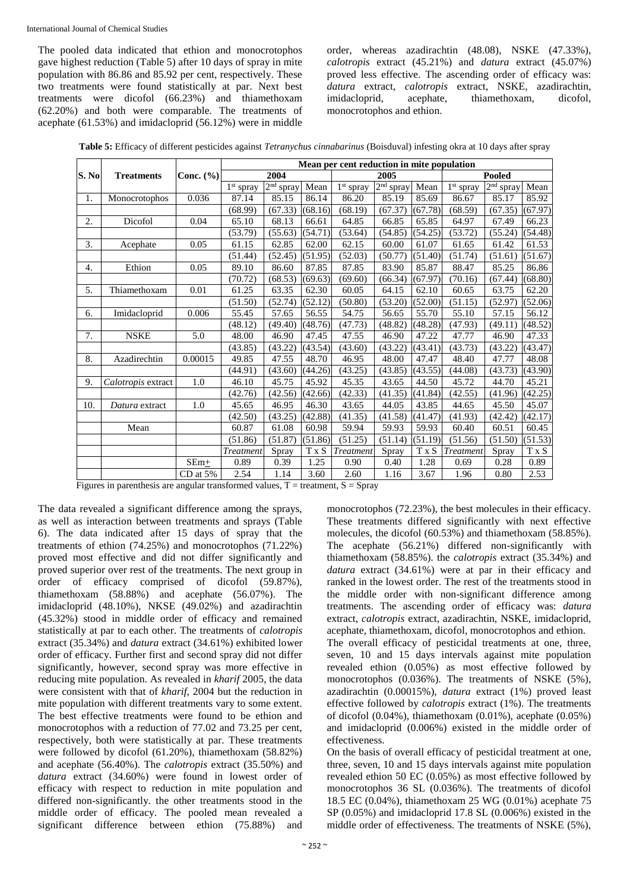The pooled data indicated that ethion and monocrotophos gave highest reduction (Table 5) after 10 days of spray in mite population with 86.86 and 85.92 per cent, respectively. These two treatments were found statistically at par. Next best treatments were dicofol (66.23%) and thiamethoxam (62.20%) and both were comparable. The treatments of acephate (61.53%) and imidacloprid (56.12%) were in middle

order, whereas azadirachtin (48.08), NSKE (47.33%), *calotropis* extract (45.21%) and *datura* extract (45.07%) proved less effective. The ascending order of efficacy was: *datura* extract, *calotropis* extract, NSKE, azadirachtin, imidacloprid, acephate, thiamethoxam, dicofol, monocrotophos and ethion.

**Table 5:** Efficacy of different pesticides against *Tetranychus cinnabarinus* (Boisduval) infesting okra at 10 days after spray

|                  |                    |               | Mean per cent reduction in mite population |             |         |                  |             |         |                  |               |                           |  |
|------------------|--------------------|---------------|--------------------------------------------|-------------|---------|------------------|-------------|---------|------------------|---------------|---------------------------|--|
| S. No            | <b>Treatments</b>  | Conc. $(\% )$ |                                            | 2004        |         |                  | 2005        |         |                  | <b>Pooled</b> |                           |  |
|                  |                    |               | 1 <sup>st</sup> spray                      | $2nd$ spray | Mean    | $1st$ spray      | $2nd$ spray | Mean    | $1st$ spray      | $2nd$ spray   | Mean                      |  |
| 1.               | Monocrotophos      | 0.036         | 87.14                                      | 85.15       | 86.14   | 86.20            | 85.19       | 85.69   | 86.67            | 85.17         | 85.92                     |  |
|                  |                    |               | (68.99)                                    | (67.33)     | (68.16) | (68.19)          | (67.37)     | (67.78) | (68.59)          | (67.35)       | (67.97)                   |  |
| 2.               | Dicofol            | 0.04          | 65.10                                      | 68.13       | 66.61   | 64.85            | 66.85       | 65.85   | 64.97            | 67.49         | 66.23                     |  |
|                  |                    |               | (53.79)                                    | (55.63)     | (54.71) | (53.64)          | (54.85)     | (54.25) | (53.72)          | (55.24)       | (54.48)                   |  |
| 3.               | Acephate           | 0.05          | 61.15                                      | 62.85       | 62.00   | 62.15            | 60.00       | 61.07   | 61.65            | 61.42         | 61.53                     |  |
|                  |                    |               | (51.44)                                    | (52.45)     | (51.95) | (52.03)          | (50.77)     | (51.40) | (51.74)          | (51.61)       | (51.67)                   |  |
| 4.               | Ethion             | 0.05          | 89.10                                      | 86.60       | 87.85   | 87.85            | 83.90       | 85.87   | 88.47            | 85.25         | 86.86                     |  |
|                  |                    |               | (70.72)                                    | (68.53)     | (69.63) | (69.60)          | (66.34)     | (67.97) | (70.16)          | (67.44)       | (68.80)                   |  |
| 5.               | Thiamethoxam       | 0.01          | 61.25                                      | 63.35       | 62.30   | 60.05            | 64.15       | 62.10   | 60.65            | 63.75         | 62.20                     |  |
|                  |                    |               | (51.50)                                    | (52.74)     | (52.12) | (50.80)          | (53.20)     | (52.00) | (51.15)          | (52.97)       | (52.06)                   |  |
| 6.               | Imidacloprid       | 0.006         | 55.45                                      | 57.65       | 56.55   | 54.75            | 56.65       | 55.70   | 55.10            | 57.15         | 56.12                     |  |
|                  |                    |               | (48.12)                                    | (49.40)     | (48.76) | (47.73)          | (48.82)     | (48.28) | (47.93)          | (49.11)       | (48.52)                   |  |
| $\overline{7}$ . | <b>NSKE</b>        | 5.0           | 48.00                                      | 46.90       | 47.45   | 47.55            | 46.90       | 47.22   | 47.77            | 46.90         | 47.33                     |  |
|                  |                    |               | (43.85)                                    | (43.22)     | (43.54) | (43.60)          | (43.22)     | (43.41) | (43.73)          | (43.22)       | (43.47)                   |  |
| 8.               | Azadirechtin       | 0.00015       | 49.85                                      | 47.55       | 48.70   | 46.95            | 48.00       | 47.47   | 48.40            | 47.77         | 48.08                     |  |
|                  |                    |               | (44.91)                                    | (43.60)     | (44.26) | (43.25)          | (43.85)     | (43.55) | (44.08)          | (43.73)       | (43.90)                   |  |
| 9.               | Calotropis extract | 1.0           | 46.10                                      | 45.75       | 45.92   | 45.35            | 43.65       | 44.50   | 45.72            | 44.70         | 45.21                     |  |
|                  |                    |               | (42.76)                                    | (42.56)     | (42.66) | (42.33)          | (41.35)     | (41.84) | (42.55)          | (41.96)       | (42.25)                   |  |
| 10.              | Datura extract     | 1.0           | 45.65                                      | 46.95       | 46.30   | 43.65            | 44.05       | 43.85   | 44.65            | 45.50         | 45.07                     |  |
|                  |                    |               | (42.50)                                    | (43.25)     | (42.88) | (41.35)          | (41.58)     | (41.47) | (41.93)          | (42.42)       | (42.17)                   |  |
|                  | Mean               |               | 60.87                                      | 61.08       | 60.98   | 59.94            | 59.93       | 59.93   | 60.40            | 60.51         | 60.45                     |  |
|                  |                    |               | (51.86)                                    | (51.87)     | (51.86) | (51.25)          | (51.14)     | (51.19) | (51.56)          | (51.50)       | (51.53)                   |  |
|                  |                    |               | Treatment                                  | Spray       | T x S   | <b>Treatment</b> | Spray       | T x S   | <b>Treatment</b> | Spray         | $\mathbf{T}\ge\mathbf{S}$ |  |
|                  |                    | $SEm+$        | 0.89                                       | 0.39        | 1.25    | 0.90             | 0.40        | 1.28    | 0.69             | 0.28          | 0.89                      |  |
|                  |                    | $CD$ at $5%$  | 2.54                                       | 1.14        | 3.60    | 2.60             | 1.16        | 3.67    | 1.96             | 0.80          | 2.53                      |  |

Figures in parenthesis are angular transformed values,  $T =$  treatment,  $S =$  Spray

The data revealed a significant difference among the sprays, as well as interaction between treatments and sprays (Table 6). The data indicated after 15 days of spray that the treatments of ethion (74.25%) and monocrotophos (71.22%) proved most effective and did not differ significantly and proved superior over rest of the treatments. The next group in order of efficacy comprised of dicofol (59.87%), thiamethoxam (58.88%) and acephate (56.07%). The imidacloprid (48.10%), NKSE (49.02%) and azadirachtin (45.32%) stood in middle order of efficacy and remained statistically at par to each other. The treatments of *calotropis*  extract (35.34%) and *datura* extract (34.61%) exhibited lower order of efficacy. Further first and second spray did not differ significantly, however, second spray was more effective in reducing mite population. As revealed in *kharif* 2005, the data were consistent with that of *kharif*, 2004 but the reduction in mite population with different treatments vary to some extent. The best effective treatments were found to be ethion and monocrotophos with a reduction of 77.02 and 73.25 per cent, respectively, both were statistically at par. These treatments were followed by dicofol (61.20%), thiamethoxam (58.82%) and acephate (56.40%). The *calotropis* extract (35.50%) and *datura* extract (34.60%) were found in lowest order of efficacy with respect to reduction in mite population and differed non-significantly. the other treatments stood in the middle order of efficacy. The pooled mean revealed a significant difference between ethion (75.88%) and

monocrotophos (72.23%), the best molecules in their efficacy. These treatments differed significantly with next effective molecules, the dicofol (60.53%) and thiamethoxam (58.85%). The acephate (56.21%) differed non-significantly with thiamethoxam (58.85%). the *calotropis* extract (35.34%) and *datura* extract (34.61%) were at par in their efficacy and ranked in the lowest order. The rest of the treatments stood in the middle order with non-significant difference among treatments. The ascending order of efficacy was: *datura*  extract, *calotropis* extract, azadirachtin, NSKE, imidacloprid, acephate, thiamethoxam, dicofol, monocrotophos and ethion. The overall efficacy of pesticidal treatments at one, three, seven, 10 and 15 days intervals against mite population revealed ethion (0.05%) as most effective followed by monocrotophos (0.036%). The treatments of NSKE (5%), azadirachtin (0.00015%), *datura* extract (1%) proved least effective followed by *calotropis* extract (1%). The treatments

of dicofol (0.04%), thiamethoxam (0.01%), acephate (0.05%) and imidacloprid (0.006%) existed in the middle order of effectiveness. On the basis of overall efficacy of pesticidal treatment at one, three, seven, 10 and 15 days intervals against mite population revealed ethion 50 EC (0.05%) as most effective followed by

monocrotophos 36 SL (0.036%). The treatments of dicofol 18.5 EC (0.04%), thiamethoxam 25 WG (0.01%) acephate 75 SP (0.05%) and imidacloprid 17.8 SL (0.006%) existed in the middle order of effectiveness. The treatments of NSKE (5%),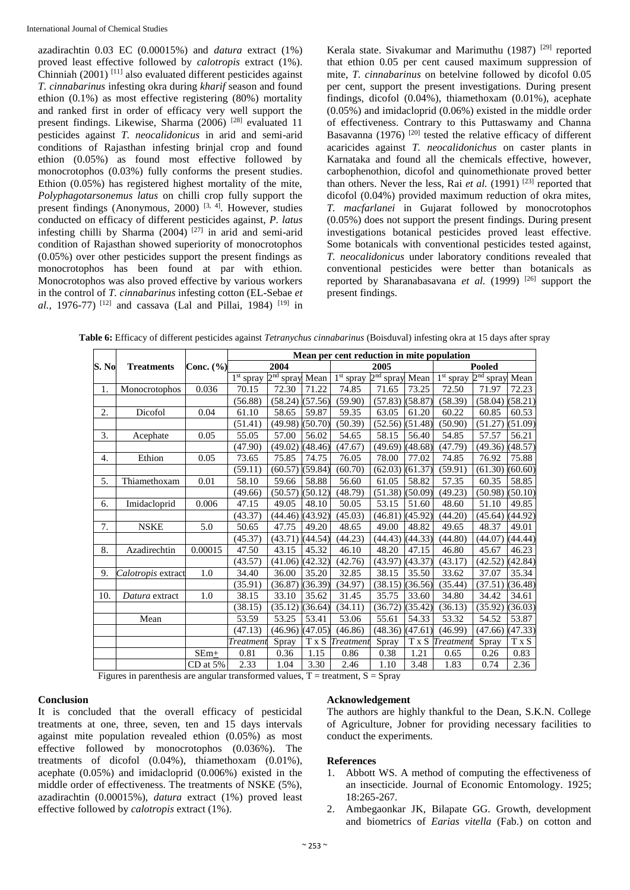azadirachtin 0.03 EC (0.00015%) and *datura* extract (1%) proved least effective followed by *calotropis* extract (1%). Chinniah (2001) [11] also evaluated different pesticides against *T. cinnabarinus* infesting okra during *kharif* season and found ethion (0.1%) as most effective registering (80%) mortality and ranked first in order of efficacy very well support the present findings. Likewise, Sharma (2006)<sup>[28]</sup> evaluated 11 pesticides against *T. neocalidonicus* in arid and semi-arid conditions of Rajasthan infesting brinjal crop and found ethion (0.05%) as found most effective followed by monocrotophos (0.03%) fully conforms the present studies. Ethion (0.05%) has registered highest mortality of the mite, *Polyphagotarsonemus latus* on chilli crop fully support the present findings (Anonymous, 2000)<sup>[3, 4]</sup>. However, studies conducted on efficacy of different pesticides against, *P. latus* infesting chilli by Sharma  $(2004)$ <sup>[27]</sup> in arid and semi-arid condition of Rajasthan showed superiority of monocrotophos (0.05%) over other pesticides support the present findings as monocrotophos has been found at par with ethion. Monocrotophos was also proved effective by various workers in the control of *T. cinnabarinus* infesting cotton (EL-Sebae *et al.*, 1976-77) [12] and cassava (Lal and Pillai, 1984) [19] in

Kerala state. Sivakumar and Marimuthu  $(1987)$ <sup>[29]</sup> reported that ethion 0.05 per cent caused maximum suppression of mite, *T. cinnabarinus* on betelvine followed by dicofol 0.05 per cent, support the present investigations. During present findings, dicofol (0.04%), thiamethoxam (0.01%), acephate (0.05%) and imidacloprid (0.06%) existed in the middle order of effectiveness. Contrary to this Puttaswamy and Channa Basavanna (1976)<sup>[20]</sup> tested the relative efficacy of different acaricides against *T. neocalidonichus* on caster plants in Karnataka and found all the chemicals effective, however, carbophenothion, dicofol and quinomethionate proved better than others. Never the less, Rai *et al.* (1991) <sup>[23]</sup> reported that dicofol (0.04%) provided maximum reduction of okra mites, *T. macfarlanei* in Gujarat followed by monocrotophos (0.05%) does not support the present findings. During present investigations botanical pesticides proved least effective. Some botanicals with conventional pesticides tested against, *T. neocalidonicus* under laboratory conditions revealed that conventional pesticides were better than botanicals as reported by Sharanabasavana *et al.* (1999)<sup>[26]</sup> support the present findings.

|       |                    |            | Mean per cent reduction in mite population |                            |         |                       |                            |         |                 |                       |         |  |
|-------|--------------------|------------|--------------------------------------------|----------------------------|---------|-----------------------|----------------------------|---------|-----------------|-----------------------|---------|--|
| S. No | <b>Treatments</b>  | Conc. (%)  | 2004                                       |                            |         |                       | 2005                       |         |                 | <b>Pooled</b>         |         |  |
|       |                    |            | $1st$ spray                                | 2 <sup>nd</sup> spray Mean |         | 1 <sup>st</sup> spray | 2 <sup>nd</sup> spray Mean |         | $1st$ spray     | 2 <sup>nd</sup> spray | Mean    |  |
| 1.    | Monocrotophos      | 0.036      | 70.15                                      | 72.30                      | 71.22   | 74.85                 | 71.65                      | 73.25   | 72.50           | 71.97                 | 72.23   |  |
|       |                    |            | (56.88)                                    | (58.24)                    | (57.56) | (59.90)               | (57.83)                    | (58.87) | (58.39)         | (58.04)               | (58.21) |  |
| 2.    | Dicofol            | 0.04       | 61.10                                      | 58.65                      | 59.87   | 59.35                 | 63.05                      | 61.20   | 60.22           | 60.85                 | 60.53   |  |
|       |                    |            | (51.41)                                    | (49.98)                    | (50.70) | (50.39)               | (52.56)                    | (51.48) | (50.90)         | (51.27)               | (51.09) |  |
| 3.    | Acephate           | 0.05       | 55.05                                      | 57.00                      | 56.02   | 54.65                 | 58.15                      | 56.40   | 54.85           | 57.57                 | 56.21   |  |
|       |                    |            | (47.90)                                    | (49.02)                    | (48.46) | (47.67)               | (49.69)                    | (48.68) | (47.79)         | (49.36)               | (48.57) |  |
| 4.    | Ethion             | 0.05       | 73.65                                      | 75.85                      | 74.75   | 76.05                 | 78.00                      | 77.02   | 74.85           | 76.92                 | 75.88   |  |
|       |                    |            | (59.11)                                    | (60.57)                    | (59.84) | (60.70)               | (62.03)                    | (61.37) | (59.91)         | (61.30)               | (60.60) |  |
| 5.    | Thiamethoxam       | 0.01       | 58.10                                      | 59.66                      | 58.88   | 56.60                 | 61.05                      | 58.82   | 57.35           | 60.35                 | 58.85   |  |
|       |                    |            | (49.66)                                    | (50.57)                    | (50.12) | (48.79)               | (51.38)                    | (50.09) | (49.23)         | (50.98)               | (50.10) |  |
| 6.    | Imidacloprid       | 0.006      | 47.15                                      | 49.05                      | 48.10   | 50.05                 | 53.15                      | 51.60   | 48.60           | 51.10                 | 49.85   |  |
|       |                    |            | (43.37)                                    | (44.46)                    | (43.92) | (45.03)               | (46.81)                    | (45.92) | (44.20)         | (45.64)               | (44.92) |  |
| 7.    | <b>NSKE</b>        | 5.0        | 50.65                                      | 47.75                      | 49.20   | 48.65                 | 49.00                      | 48.82   | 49.65           | 48.37                 | 49.01   |  |
|       |                    |            | (45.37)                                    | (43.71)                    | (44.54) | (44.23)               | (44.43)                    | (44.33) | (44.80)         | (44.07)               | (44.44) |  |
| 8.    | Azadirechtin       | 0.00015    | 47.50                                      | 43.15                      | 45.32   | 46.10                 | 48.20                      | 47.15   | 46.80           | 45.67                 | 46.23   |  |
|       |                    |            | (43.57)                                    | (41.06)                    | (42.32) | (42.76)               | (43.97)                    | (43.37) | (43.17)         | (42.52)               | (42.84) |  |
| 9.    | Calotropis extract | 1.0        | 34.40                                      | 36.00                      | 35.20   | 32.85                 | 38.15                      | 35.50   | 33.62           | 37.07                 | 35.34   |  |
|       |                    |            | (35.91)                                    | (36.87)                    | (36.39) | (34.97)               | (38.15)                    | (36.56) | (35.44)         | (37.51)               | (36.48) |  |
| 10.   | Datura extract     | 1.0        | 38.15                                      | 33.10                      | 35.62   | 31.45                 | 35.75                      | 33.60   | 34.80           | 34.42                 | 34.61   |  |
|       |                    |            | (38.15)                                    | (35.12)                    | (36.64) | (34.11)               | (36.72)                    | (35.42) | (36.13)         | (35.92)               | (36.03) |  |
|       | Mean               |            | 53.59                                      | 53.25                      | 53.41   | 53.06                 | 55.61                      | 54.33   | 53.32           | 54.52                 | 53.87   |  |
|       |                    |            | (47.13)                                    | (46.96)                    | (47.05) | (46.86)               | (48.36)                    | (47.61) | (46.99)         | (47.66)               | (47.33) |  |
|       |                    |            | Treatmeni                                  | Spray                      |         | T x S Treatment       | Spray                      |         | T x S Treatment | Spray                 | T x S   |  |
|       |                    | $SEm+$     | 0.81                                       | 0.36                       | 1.15    | 0.86                  | 0.38                       | 1.21    | 0.65            | 0.26                  | 0.83    |  |
|       |                    | $CD$ at 5% | 2.33                                       | 1.04                       | 3.30    | 2.46                  | 1.10                       | 3.48    | 1.83            | 0.74                  | 2.36    |  |

**Table 6:** Efficacy of different pesticides against *Tetranychus cinnabarinus* (Boisduval) infesting okra at 15 days after spray

Figures in parenthesis are angular transformed values,  $T =$  treatment,  $S =$  Spray

#### **Conclusion**

It is concluded that the overall efficacy of pesticidal treatments at one, three, seven, ten and 15 days intervals against mite population revealed ethion (0.05%) as most effective followed by monocrotophos (0.036%). The treatments of dicofol (0.04%), thiamethoxam (0.01%), acephate (0.05%) and imidacloprid (0.006%) existed in the middle order of effectiveness. The treatments of NSKE (5%), azadirachtin (0.00015%), *datura* extract (1%) proved least effective followed by *calotropis* extract (1%).

#### **Acknowledgement**

The authors are highly thankful to the Dean, S.K.N. College of Agriculture, Jobner for providing necessary facilities to conduct the experiments.

#### **References**

- 1. Abbott WS. A method of computing the effectiveness of an insecticide. Journal of Economic Entomology. 1925; 18:265-267.
- 2. Ambegaonkar JK, Bilapate GG. Growth, development and biometrics of *Earias vitella* (Fab.) on cotton and